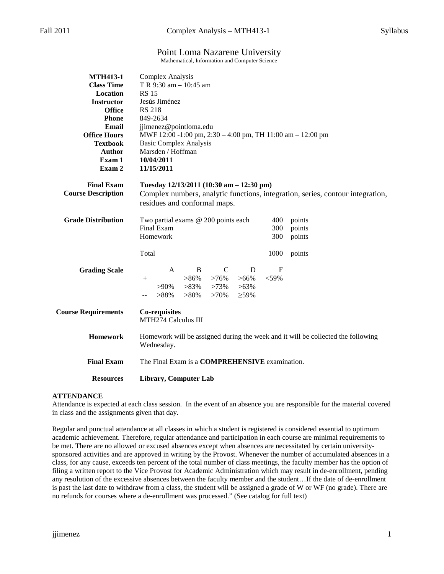# Point Loma Nazarene University

Mathematical, Information and Computer Science

| <b>MTH413-1</b>            | Complex Analysis                                                                                                           |                                                      |               |             |             |        |  |
|----------------------------|----------------------------------------------------------------------------------------------------------------------------|------------------------------------------------------|---------------|-------------|-------------|--------|--|
| <b>Class Time</b>          | T R 9:30 am - 10:45 am                                                                                                     |                                                      |               |             |             |        |  |
| Location                   | <b>RS 15</b>                                                                                                               |                                                      |               |             |             |        |  |
| <b>Instructor</b>          | Jesús Jiménez                                                                                                              |                                                      |               |             |             |        |  |
| <b>Office</b>              | <b>RS 218</b>                                                                                                              |                                                      |               |             |             |        |  |
| <b>Phone</b>               | 849-2634                                                                                                                   |                                                      |               |             |             |        |  |
| Email                      | jjimenez@pointloma.edu                                                                                                     |                                                      |               |             |             |        |  |
| <b>Office Hours</b>        | MWF 12:00 -1:00 pm, 2:30 - 4:00 pm, TH 11:00 am - 12:00 pm                                                                 |                                                      |               |             |             |        |  |
| <b>Textbook</b>            | <b>Basic Complex Analysis</b>                                                                                              |                                                      |               |             |             |        |  |
| <b>Author</b>              | Marsden / Hoffman                                                                                                          |                                                      |               |             |             |        |  |
| Exam 1                     | 10/04/2011                                                                                                                 |                                                      |               |             |             |        |  |
| Exam 2                     | 11/15/2011                                                                                                                 |                                                      |               |             |             |        |  |
|                            |                                                                                                                            |                                                      |               |             |             |        |  |
| <b>Final Exam</b>          | Tuesday 12/13/2011 (10:30 am - 12:30 pm)<br>Complex numbers, analytic functions, integration, series, contour integration, |                                                      |               |             |             |        |  |
| <b>Course Description</b>  |                                                                                                                            |                                                      |               |             |             |        |  |
|                            | residues and conformal maps.                                                                                               |                                                      |               |             |             |        |  |
| <b>Grade Distribution</b>  |                                                                                                                            | Two partial exams @ 200 points each<br>400<br>points |               |             |             |        |  |
|                            | Final Exam                                                                                                                 |                                                      |               |             | 300         | points |  |
|                            | Homework                                                                                                                   |                                                      |               |             | 300         | points |  |
|                            | Total                                                                                                                      |                                                      |               |             |             |        |  |
|                            |                                                                                                                            |                                                      |               |             | 1000        | points |  |
| <b>Grading Scale</b>       | A                                                                                                                          | B                                                    | $\mathcal{C}$ | D           | $\mathbf F$ |        |  |
|                            | $^{+}$                                                                                                                     | $>86\%$                                              | $>76\%$       | $>66\%$     | $<$ 59%     |        |  |
|                            | $>90\%$                                                                                                                    | $>83\%$                                              | $>73\%$       | $>63\%$     |             |        |  |
|                            | $>88\%$                                                                                                                    | $>80\%$                                              | $>70\%$       | $\geq 59\%$ |             |        |  |
|                            |                                                                                                                            |                                                      |               |             |             |        |  |
| <b>Course Requirements</b> | <b>Co-requisites</b>                                                                                                       |                                                      |               |             |             |        |  |
|                            | MTH274 Calculus III                                                                                                        |                                                      |               |             |             |        |  |
|                            |                                                                                                                            |                                                      |               |             |             |        |  |
| <b>Homework</b>            | Homework will be assigned during the week and it will be collected the following                                           |                                                      |               |             |             |        |  |
|                            | Wednesday.                                                                                                                 |                                                      |               |             |             |        |  |
| <b>Final Exam</b>          | The Final Exam is a <b>COMPREHENSIVE</b> examination.                                                                      |                                                      |               |             |             |        |  |
|                            |                                                                                                                            |                                                      |               |             |             |        |  |
| <b>Resources</b>           | <b>Library, Computer Lab</b>                                                                                               |                                                      |               |             |             |        |  |
|                            |                                                                                                                            |                                                      |               |             |             |        |  |

## **ATTENDANCE**

Attendance is expected at each class session. In the event of an absence you are responsible for the material covered in class and the assignments given that day.

Regular and punctual attendance at all classes in which a student is registered is considered essential to optimum academic achievement. Therefore, regular attendance and participation in each course are minimal requirements to be met. There are no allowed or excused absences except when absences are necessitated by certain universitysponsored activities and are approved in writing by the Provost. Whenever the number of accumulated absences in a class, for any cause, exceeds ten percent of the total number of class meetings, the faculty member has the option of filing a written report to the Vice Provost for Academic Administration which may result in de-enrollment, pending any resolution of the excessive absences between the faculty member and the student…If the date of de-enrollment is past the last date to withdraw from a class, the student will be assigned a grade of W or WF (no grade). There are no refunds for courses where a de-enrollment was processed." (See catalog for full text)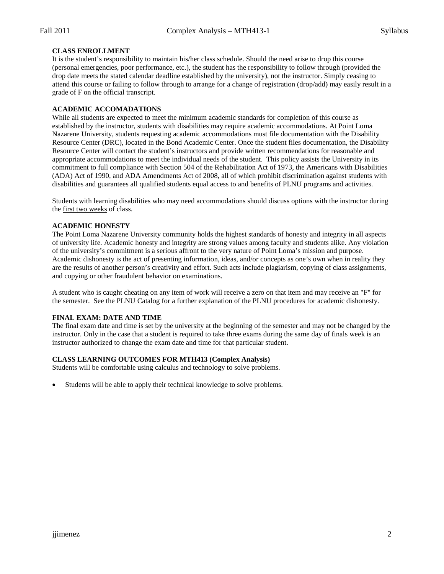## **CLASS ENROLLMENT**

It is the student's responsibility to maintain his/her class schedule. Should the need arise to drop this course (personal emergencies, poor performance, etc.), the student has the responsibility to follow through (provided the drop date meets the stated calendar deadline established by the university), not the instructor. Simply ceasing to attend this course or failing to follow through to arrange for a change of registration (drop/add) may easily result in a grade of F on the official transcript.

### **ACADEMIC ACCOMADATIONS**

While all students are expected to meet the minimum academic standards for completion of this course as established by the instructor, students with disabilities may require academic accommodations. At Point Loma Nazarene University, students requesting academic accommodations must file documentation with the Disability Resource Center (DRC), located in the Bond Academic Center. Once the student files documentation, the Disability Resource Center will contact the student's instructors and provide written recommendations for reasonable and appropriate accommodations to meet the individual needs of the student. This policy assists the University in its commitment to full compliance with Section 504 of the Rehabilitation Act of 1973, the Americans with Disabilities (ADA) Act of 1990, and ADA Amendments Act of 2008, all of which prohibit discrimination against students with disabilities and guarantees all qualified students equal access to and benefits of PLNU programs and activities.

Students with learning disabilities who may need accommodations should discuss options with the instructor during the first two weeks of class.

### **ACADEMIC HONESTY**

The Point Loma Nazarene University community holds the highest standards of honesty and integrity in all aspects of university life. Academic honesty and integrity are strong values among faculty and students alike. Any violation of the university's commitment is a serious affront to the very nature of Point Loma's mission and purpose. Academic dishonesty is the act of presenting information, ideas, and/or concepts as one's own when in reality they are the results of another person's creativity and effort. Such acts include plagiarism, copying of class assignments, and copying or other fraudulent behavior on examinations.

A student who is caught cheating on any item of work will receive a zero on that item and may receive an "F" for the semester. See the PLNU Catalog for a further explanation of the PLNU procedures for academic dishonesty.

#### **FINAL EXAM: DATE AND TIME**

The final exam date and time is set by the university at the beginning of the semester and may not be changed by the instructor. Only in the case that a student is required to take three exams during the same day of finals week is an instructor authorized to change the exam date and time for that particular student.

## **CLASS LEARNING OUTCOMES FOR MTH413 (Complex Analysis)**

Students will be comfortable using calculus and technology to solve problems.

Students will be able to apply their technical knowledge to solve problems.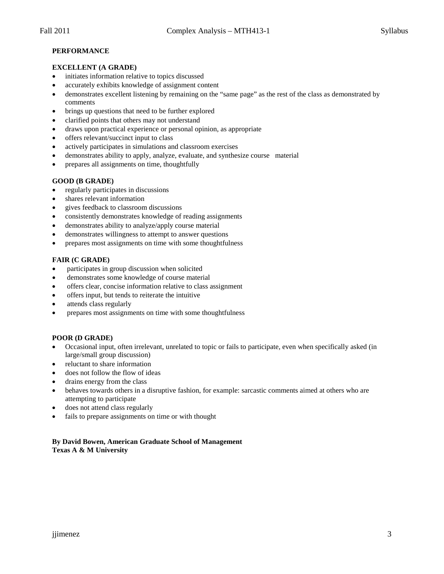# **PERFORMANCE**

# **EXCELLENT (A GRADE)**

- initiates information relative to topics discussed
- accurately exhibits knowledge of assignment content
- demonstrates excellent listening by remaining on the "same page" as the rest of the class as demonstrated by comments
- brings up questions that need to be further explored
- clarified points that others may not understand
- draws upon practical experience or personal opinion, as appropriate
- offers relevant/succinct input to class
- actively participates in simulations and classroom exercises
- demonstrates ability to apply, analyze, evaluate, and synthesize course material
- prepares all assignments on time, thoughtfully

# **GOOD (B GRADE)**

- regularly participates in discussions
- shares relevant information
- gives feedback to classroom discussions
- consistently demonstrates knowledge of reading assignments
- demonstrates ability to analyze/apply course material
- demonstrates willingness to attempt to answer questions
- prepares most assignments on time with some thoughtfulness

# **FAIR (C GRADE)**

- participates in group discussion when solicited
- demonstrates some knowledge of course material
- offers clear, concise information relative to class assignment
- offers input, but tends to reiterate the intuitive
- attends class regularly
- prepares most assignments on time with some thoughtfulness

## **POOR (D GRADE)**

- Occasional input, often irrelevant, unrelated to topic or fails to participate, even when specifically asked (in large/small group discussion)
- reluctant to share information
- does not follow the flow of ideas
- drains energy from the class
- behaves towards others in a disruptive fashion, for example: sarcastic comments aimed at others who are attempting to participate
- does not attend class regularly
- fails to prepare assignments on time or with thought

### **By David Bowen, American Graduate School of Management Texas A & M University**